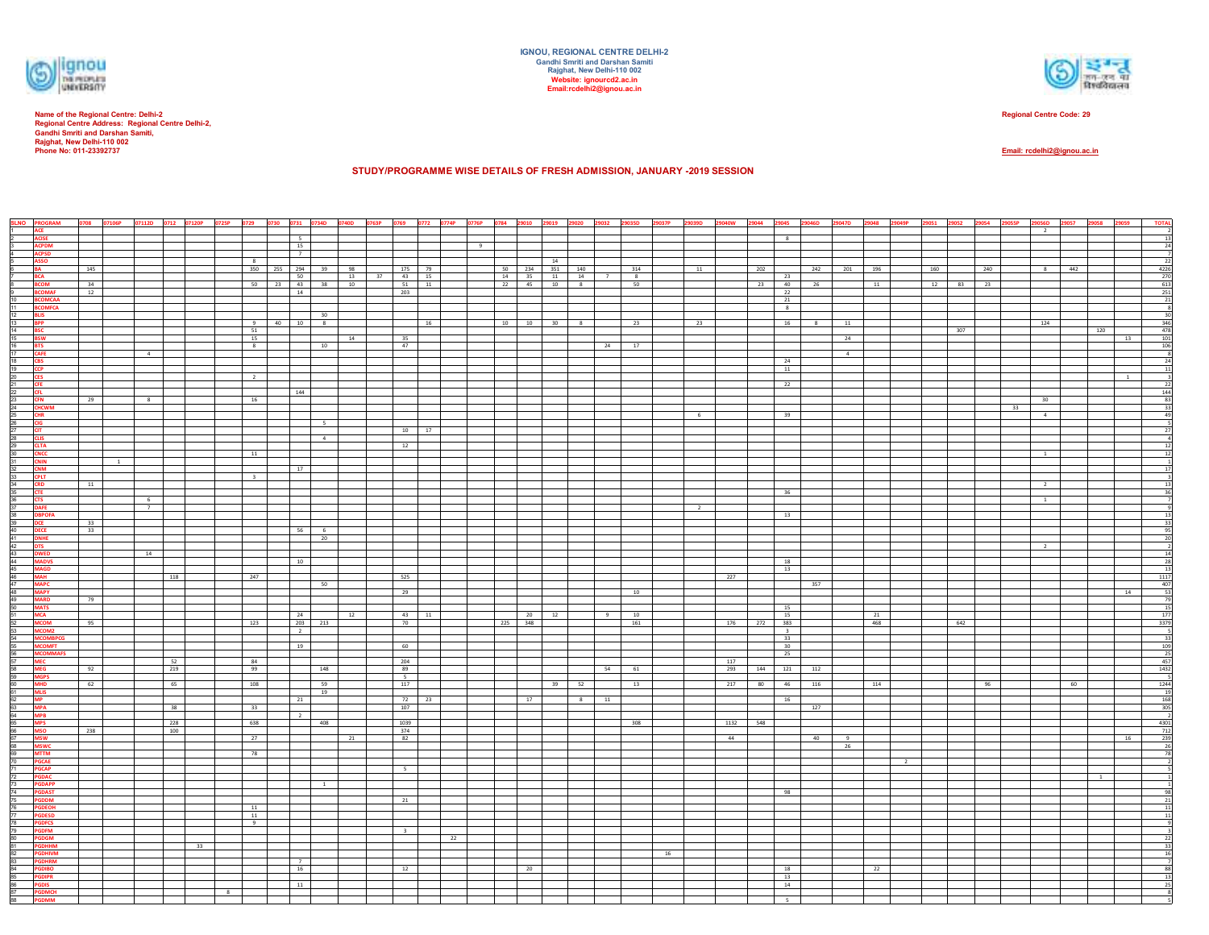

**Name of the Regional Centre: Delhi-2 Regional Centre Address: Regional Centre Delhi-2, Gandhi Smriti and Darshan Samiti, Rajghat, New Delhi-110 002 Phone No: 011-23392737**



**Regional Centre Code: 29**

**Email: rcdelhi2@ignou.ac.in**

**STUDY/PROGRAMME WISE DETAILS OF FRESH ADMISSION, JANUARY -2019 SESSION** 

|                                                                                                                                                                                                                                | <b>SLNO</b> PROGRAM                              |     |                |                |     |    |                |                         |                               |                       |          |                         | 0708 07106P 07112D 0712 07120P 0725P 0729 0730 0731 0734D 0740D 0763P 0769 0772 0774P 0776P 0784 29010 29019 29020 29020 29032 29035D 29037P 29039D 29040W 29044 |                                                                                                                                      |    |                       |                |            |             |                         | 29045 29046D 29047D 29048 29049P 29051 29052 29054 29055P |     |     |          |     | 29056D                  | 29057<br>29058 | 29059        | <b>TOTAL</b>                                                                                                    |
|--------------------------------------------------------------------------------------------------------------------------------------------------------------------------------------------------------------------------------|--------------------------------------------------|-----|----------------|----------------|-----|----|----------------|-------------------------|-------------------------------|-----------------------|----------|-------------------------|------------------------------------------------------------------------------------------------------------------------------------------------------------------|--------------------------------------------------------------------------------------------------------------------------------------|----|-----------------------|----------------|------------|-------------|-------------------------|-----------------------------------------------------------|-----|-----|----------|-----|-------------------------|----------------|--------------|-----------------------------------------------------------------------------------------------------------------|
|                                                                                                                                                                                                                                |                                                  |     |                |                |     |    |                |                         |                               |                       |          |                         |                                                                                                                                                                  |                                                                                                                                      |    |                       |                |            |             |                         |                                                           |     |     |          |     | $\overline{\mathbf{2}}$ |                |              |                                                                                                                 |
|                                                                                                                                                                                                                                | ACE<br>ACISE<br>ACPDM                            |     |                |                |     |    |                |                         | $\overline{\mathbf{s}}$<br>15 |                       |          |                         | 9                                                                                                                                                                |                                                                                                                                      |    |                       |                |            |             | 8                       |                                                           |     |     |          |     |                         |                |              | 13<br>24                                                                                                        |
|                                                                                                                                                                                                                                |                                                  |     |                |                |     |    |                |                         | 7                             |                       |          |                         |                                                                                                                                                                  |                                                                                                                                      |    |                       |                |            |             |                         |                                                           |     |     |          |     |                         |                |              | $\overline{\phantom{0}}$                                                                                        |
|                                                                                                                                                                                                                                | ACPSD<br>ASSO                                    |     |                |                |     |    |                | 8                       |                               |                       |          |                         |                                                                                                                                                                  | 14                                                                                                                                   |    |                       |                |            |             |                         |                                                           |     |     |          |     |                         |                |              | 22                                                                                                              |
|                                                                                                                                                                                                                                | BA<br>BCA<br>BCOM<br>BCOMAF<br>BCOMCA<br>BCOMFCA | 145 |                |                |     |    |                |                         | 350 255 294 39 98<br>50       |                       | 13<br>37 | 175 79<br>43 15         |                                                                                                                                                                  | 50   234   351   140                                                                                                                 |    | 314<br>8 <sup>7</sup> | 11             |            | 202         | 23                      | 242 201 196                                               |     | 160 |          | 240 | $\infty$                | 442            |              | $\begin{array}{r} 4226 \\ 270 \\ 613 \end{array}$                                                               |
|                                                                                                                                                                                                                                |                                                  | 34  |                |                |     |    |                | 50 23                   |                               |                       | 43 38 10 | 51 11                   |                                                                                                                                                                  | $\begin{array}{ c c c c c c c } \hline & 14 & & 35 & & 11 & & 14 & & 7 \\ \hline & 22 & & 45 & & 10 & & 8 & & \\ \hline \end{array}$ |    | 50                    |                |            | 23          | 40                      | 26                                                        | 11  |     | 12 83 23 |     |                         |                |              |                                                                                                                 |
|                                                                                                                                                                                                                                |                                                  | 12  |                |                |     |    |                |                         | 14                            |                       |          | 203                     |                                                                                                                                                                  |                                                                                                                                      |    |                       |                |            |             | 22                      |                                                           |     |     |          |     |                         |                |              | $\begin{array}{r} 251 \\ 21 \end{array}$                                                                        |
| 9<br>10<br>11<br>12<br>13<br>14<br>15<br>16<br>17                                                                                                                                                                              |                                                  |     |                |                |     |    |                |                         |                               |                       |          |                         |                                                                                                                                                                  |                                                                                                                                      |    |                       |                |            |             | 21                      |                                                           |     |     |          |     |                         |                |              |                                                                                                                 |
|                                                                                                                                                                                                                                | <b>BLIS</b>                                      |     |                |                |     |    |                |                         |                               | 30                    |          |                         |                                                                                                                                                                  |                                                                                                                                      |    |                       |                |            |             | 8                       |                                                           |     |     |          |     |                         |                |              | $^{\circ}$<br>30                                                                                                |
|                                                                                                                                                                                                                                | <b>BPP</b><br>BSC                                |     |                |                |     |    |                | 9                       | 40<br>10                      | 8                     |          | 16                      |                                                                                                                                                                  | $10$ $10$<br>$30 \qquad 8$                                                                                                           |    | 23                    | 23             |            |             | 16                      | 11<br>8 <sub>1</sub>                                      |     |     |          |     | 124                     |                |              | $\frac{346}{478}$                                                                                               |
|                                                                                                                                                                                                                                |                                                  |     |                |                |     |    |                | 51                      |                               |                       |          |                         |                                                                                                                                                                  |                                                                                                                                      |    |                       |                |            |             |                         |                                                           |     |     | 307      |     |                         | 120            |              |                                                                                                                 |
|                                                                                                                                                                                                                                | <b>BSW</b><br>BTS                                |     |                |                |     |    |                | 15<br>8                 |                               | 10                    | 14       | 35<br>47                |                                                                                                                                                                  |                                                                                                                                      | 24 | 17                    |                |            |             |                         | 24                                                        |     |     |          |     |                         |                | 13           | $\begin{array}{r} 101 \\ 106 \end{array}$                                                                       |
|                                                                                                                                                                                                                                | <b>CAFE</b>                                      |     |                | $\overline{a}$ |     |    |                |                         |                               |                       |          |                         |                                                                                                                                                                  |                                                                                                                                      |    |                       |                |            |             |                         | $\overline{4}$                                            |     |     |          |     |                         |                |              | $_{8}$                                                                                                          |
|                                                                                                                                                                                                                                | <b>CBS</b>                                       |     |                |                |     |    |                |                         |                               |                       |          |                         |                                                                                                                                                                  |                                                                                                                                      |    |                       |                |            |             | 24                      |                                                           |     |     |          |     |                         |                |              | 24                                                                                                              |
|                                                                                                                                                                                                                                | CCP                                              |     |                |                |     |    |                | $\overline{\mathbf{2}}$ |                               |                       |          |                         |                                                                                                                                                                  |                                                                                                                                      |    |                       |                |            |             | 11                      |                                                           |     |     |          |     |                         |                | $\mathbf{1}$ | 11<br>$\overline{\phantom{a}}$                                                                                  |
|                                                                                                                                                                                                                                | CES<br>CFE                                       |     |                |                |     |    |                |                         |                               |                       |          |                         |                                                                                                                                                                  |                                                                                                                                      |    |                       |                |            |             | 22                      |                                                           |     |     |          |     |                         |                |              | 22                                                                                                              |
|                                                                                                                                                                                                                                | CFL<br>CFN                                       |     |                |                |     |    |                |                         | 144                           |                       |          |                         |                                                                                                                                                                  |                                                                                                                                      |    |                       |                |            |             |                         |                                                           |     |     |          |     |                         |                |              | $\frac{144}{83}$                                                                                                |
|                                                                                                                                                                                                                                | <b>CHCWM</b>                                     | 29  |                | 8 <sup>1</sup> |     |    |                | 16                      |                               |                       |          |                         |                                                                                                                                                                  |                                                                                                                                      |    |                       |                |            |             |                         |                                                           |     |     |          |     | 30<br>33                |                |              | 33                                                                                                              |
|                                                                                                                                                                                                                                |                                                  |     |                |                |     |    |                |                         |                               |                       |          |                         |                                                                                                                                                                  |                                                                                                                                      |    |                       | 6              |            |             | 39                      |                                                           |     |     |          |     | $\sim$                  |                |              | 49                                                                                                              |
|                                                                                                                                                                                                                                | CHR<br>CIG                                       |     |                |                |     |    |                |                         |                               | 5                     |          |                         |                                                                                                                                                                  |                                                                                                                                      |    |                       |                |            |             |                         |                                                           |     |     |          |     |                         |                |              |                                                                                                                 |
|                                                                                                                                                                                                                                |                                                  |     |                |                |     |    |                |                         |                               | 4                     |          | 10 17                   |                                                                                                                                                                  |                                                                                                                                      |    |                       |                |            |             |                         |                                                           |     |     |          |     |                         |                |              | 27                                                                                                              |
|                                                                                                                                                                                                                                |                                                  |     |                |                |     |    |                |                         |                               |                       |          | 12                      |                                                                                                                                                                  |                                                                                                                                      |    |                       |                |            |             |                         |                                                           |     |     |          |     |                         |                |              | 12                                                                                                              |
|                                                                                                                                                                                                                                |                                                  |     |                |                |     |    |                | 11                      |                               |                       |          |                         |                                                                                                                                                                  |                                                                                                                                      |    |                       |                |            |             |                         |                                                           |     |     |          |     | $\overline{1}$          |                |              | 12                                                                                                              |
|                                                                                                                                                                                                                                | CIT<br>CLITA<br>CLITA<br>CNIN<br>CNIM<br>CNIM    |     | $\overline{1}$ |                |     |    |                |                         |                               |                       |          |                         |                                                                                                                                                                  |                                                                                                                                      |    |                       |                |            |             |                         |                                                           |     |     |          |     |                         |                |              |                                                                                                                 |
|                                                                                                                                                                                                                                | <b>CPLT</b>                                      |     |                |                |     |    |                | $\overline{\mathbf{3}}$ | 17                            |                       |          |                         |                                                                                                                                                                  |                                                                                                                                      |    |                       |                |            |             |                         |                                                           |     |     |          |     |                         |                |              | 17                                                                                                              |
|                                                                                                                                                                                                                                | <b>CRD</b><br>CTE                                | 11  |                |                |     |    |                |                         |                               |                       |          |                         |                                                                                                                                                                  |                                                                                                                                      |    |                       |                |            |             |                         |                                                           |     |     |          |     | $\overline{2}$          |                |              | 13                                                                                                              |
|                                                                                                                                                                                                                                |                                                  |     |                |                |     |    |                |                         |                               |                       |          |                         |                                                                                                                                                                  |                                                                                                                                      |    |                       |                |            |             | 36                      |                                                           |     |     |          |     |                         |                |              | 36                                                                                                              |
|                                                                                                                                                                                                                                | <b>CTS</b><br>DAFE                               |     |                | $rac{6}{7}$    |     |    |                |                         |                               |                       |          |                         |                                                                                                                                                                  |                                                                                                                                      |    |                       | $\overline{2}$ |            |             |                         |                                                           |     |     |          |     | $\overline{1}$          |                |              |                                                                                                                 |
|                                                                                                                                                                                                                                | <b>DBPOFA</b>                                    |     |                |                |     |    |                |                         |                               |                       |          |                         |                                                                                                                                                                  |                                                                                                                                      |    |                       |                |            |             | 13                      |                                                           |     |     |          |     |                         |                |              | 13                                                                                                              |
|                                                                                                                                                                                                                                | DCE<br>DECE                                      | 33  |                |                |     |    |                |                         |                               |                       |          |                         |                                                                                                                                                                  |                                                                                                                                      |    |                       |                |            |             |                         |                                                           |     |     |          |     |                         |                |              | 33                                                                                                              |
|                                                                                                                                                                                                                                | <b>DNHE</b>                                      | 33  |                |                |     |    |                |                         | 56                            | $6\overline{6}$<br>20 |          |                         |                                                                                                                                                                  |                                                                                                                                      |    |                       |                |            |             |                         |                                                           |     |     |          |     |                         |                |              | 95<br>20                                                                                                        |
|                                                                                                                                                                                                                                |                                                  |     |                |                |     |    |                |                         |                               |                       |          |                         |                                                                                                                                                                  |                                                                                                                                      |    |                       |                |            |             |                         |                                                           |     |     |          |     | $\overline{2}$          |                |              | $\overline{\phantom{a}}$                                                                                        |
|                                                                                                                                                                                                                                | DTS<br>DWED<br>MADVS                             |     |                | 14             |     |    |                |                         |                               |                       |          |                         |                                                                                                                                                                  |                                                                                                                                      |    |                       |                |            |             |                         |                                                           |     |     |          |     |                         |                |              | 14                                                                                                              |
|                                                                                                                                                                                                                                |                                                  |     |                |                |     |    |                |                         | 10                            |                       |          |                         |                                                                                                                                                                  |                                                                                                                                      |    |                       |                |            |             | 18<br>13                |                                                           |     |     |          |     |                         |                |              | 28                                                                                                              |
|                                                                                                                                                                                                                                | MAGD<br>MAH                                      |     |                |                | 118 |    |                | 247                     |                               |                       |          | 525                     |                                                                                                                                                                  |                                                                                                                                      |    |                       |                | 227        |             |                         |                                                           |     |     |          |     |                         |                |              | $\begin{array}{c} 13 \\ 1117 \end{array}$                                                                       |
|                                                                                                                                                                                                                                | <b>MAPC</b>                                      |     |                |                |     |    |                |                         |                               | 50                    |          |                         |                                                                                                                                                                  |                                                                                                                                      |    |                       |                |            |             |                         | 357                                                       |     |     |          |     |                         |                |              | $\begin{array}{r} 407 \\ 53 \\ \hline 79 \end{array}$                                                           |
|                                                                                                                                                                                                                                | MAPY<br>MARD                                     |     |                |                |     |    |                |                         |                               |                       |          | 29                      |                                                                                                                                                                  |                                                                                                                                      |    | 10                    |                |            |             |                         |                                                           |     |     |          |     |                         |                | 14           |                                                                                                                 |
|                                                                                                                                                                                                                                | <b>MATS</b>                                      | 79  |                |                |     |    |                |                         |                               |                       |          |                         |                                                                                                                                                                  |                                                                                                                                      |    |                       |                |            |             | 15                      |                                                           |     |     |          |     |                         |                |              | 15                                                                                                              |
|                                                                                                                                                                                                                                | MCA<br>MCOM<br>MCOM2<br>MCOMBPCG<br>MCOMFT       |     |                |                |     |    |                |                         | 24                            |                       | 12       | 43 11                   |                                                                                                                                                                  | 12<br>20                                                                                                                             | 9  | 10                    |                |            |             | 15                      |                                                           | 21  |     |          |     |                         |                |              |                                                                                                                 |
|                                                                                                                                                                                                                                |                                                  | 95  |                |                |     |    |                | 123                     | $\overline{2}$                | 203 213               |          | 70                      |                                                                                                                                                                  | 225 348                                                                                                                              |    | 161                   |                |            | 176 272 383 | $\overline{\mathbf{3}}$ |                                                           | 468 |     | 642      |     |                         |                |              |                                                                                                                 |
|                                                                                                                                                                                                                                |                                                  |     |                |                |     |    |                |                         |                               |                       |          |                         |                                                                                                                                                                  |                                                                                                                                      |    |                       |                |            |             | 33                      |                                                           |     |     |          |     |                         |                |              |                                                                                                                 |
|                                                                                                                                                                                                                                |                                                  |     |                |                |     |    |                |                         | 19                            |                       |          | 60                      |                                                                                                                                                                  |                                                                                                                                      |    |                       |                |            |             | 30                      |                                                           |     |     |          |     |                         |                |              |                                                                                                                 |
|                                                                                                                                                                                                                                | <b>MCOMMAFS</b>                                  |     |                |                | 52  |    |                | 84                      |                               |                       |          |                         |                                                                                                                                                                  |                                                                                                                                      |    |                       |                |            |             | 25                      |                                                           |     |     |          |     |                         |                |              |                                                                                                                 |
|                                                                                                                                                                                                                                | MEC<br>MEG                                       | 92  |                |                | 219 |    |                | 99                      |                               | 148                   |          | 204<br>89               |                                                                                                                                                                  |                                                                                                                                      | 54 | 61                    |                | 117<br>293 | 144         |                         | 121 112                                                   |     |     |          |     |                         |                |              |                                                                                                                 |
|                                                                                                                                                                                                                                |                                                  |     |                |                |     |    |                |                         |                               |                       |          | 5                       |                                                                                                                                                                  |                                                                                                                                      |    |                       |                |            |             |                         |                                                           |     |     |          |     |                         |                |              |                                                                                                                 |
| 地位的 2021年8月14日 19:20 19:20 19:30 19:30 19:30 19:30 19:30 19:30 19:40 19:40 19:40 19:40 19:50 19:50 19:50 19:50 19:50 19:50 19:50 19:50 19:50 19:50 19:50 19:50 19:50 19:50 19:50 19:50 19:50 19:50 19:50 19:50 19:50 19:50 19: | MGPS<br>MHD<br>MLIS<br>MP<br>MPA<br>MPB          | 62  |                |                | 65  |    |                | 108                     |                               | 59<br>19              |          | 117                     |                                                                                                                                                                  | 39 52                                                                                                                                |    | 13                    |                | 217        | 80          | 46                      | 116                                                       | 114 |     |          | 96  |                         | 60             |              | $\begin{array}{r} 33 \\ 109 \\ 25 \\ 457 \\ \hline 1432 \\ 5 \\ 1244 \\ 19 \\ \hline 168 \\ \hline \end{array}$ |
|                                                                                                                                                                                                                                |                                                  |     |                |                |     |    |                |                         | 21                            |                       |          | 72 23                   |                                                                                                                                                                  | 17<br>8 11                                                                                                                           |    |                       |                |            |             | 16                      |                                                           |     |     |          |     |                         |                |              |                                                                                                                 |
|                                                                                                                                                                                                                                |                                                  |     |                |                | 38  |    |                | 33                      |                               |                       |          | 107                     |                                                                                                                                                                  |                                                                                                                                      |    |                       |                |            |             |                         | 127                                                       |     |     |          |     |                         |                |              | 305                                                                                                             |
|                                                                                                                                                                                                                                |                                                  |     |                |                | 228 |    |                | 638                     | $\overline{2}$                | 408                   |          | 1039                    |                                                                                                                                                                  |                                                                                                                                      |    | 308                   |                | 1132 548   |             |                         |                                                           |     |     |          |     |                         |                |              | $\overline{2}$<br>4301                                                                                          |
|                                                                                                                                                                                                                                | MPS<br>MSO<br>MSW                                | 238 |                |                | 100 |    |                |                         |                               |                       |          | 374                     |                                                                                                                                                                  |                                                                                                                                      |    |                       |                |            |             |                         |                                                           |     |     |          |     |                         |                |              | $\frac{712}{239}$                                                                                               |
|                                                                                                                                                                                                                                |                                                  |     |                |                |     |    |                | 27                      |                               |                       | 21       | 82                      |                                                                                                                                                                  |                                                                                                                                      |    |                       |                | 44         |             |                         | 40<br>$\overline{9}$                                      |     |     |          |     |                         |                | 16           |                                                                                                                 |
|                                                                                                                                                                                                                                | MSWC<br>MTTM                                     |     |                |                |     |    |                | 78                      |                               |                       |          |                         |                                                                                                                                                                  |                                                                                                                                      |    |                       |                |            |             |                         | 26                                                        |     |     |          |     |                         |                |              | 26<br>78                                                                                                        |
|                                                                                                                                                                                                                                |                                                  |     |                |                |     |    |                |                         |                               |                       |          |                         |                                                                                                                                                                  |                                                                                                                                      |    |                       |                |            |             |                         |                                                           |     |     |          |     |                         |                |              |                                                                                                                 |
|                                                                                                                                                                                                                                | PGCAE<br>PGCAP<br>PGDAC<br>PGDAPP                |     |                |                |     |    |                |                         |                               |                       |          | $5 -$                   |                                                                                                                                                                  |                                                                                                                                      |    |                       |                |            |             |                         |                                                           |     |     |          |     |                         |                |              |                                                                                                                 |
|                                                                                                                                                                                                                                |                                                  |     |                |                |     |    |                |                         |                               |                       |          |                         |                                                                                                                                                                  |                                                                                                                                      |    |                       |                |            |             |                         |                                                           |     |     |          |     |                         |                |              |                                                                                                                 |
|                                                                                                                                                                                                                                |                                                  |     |                |                |     |    |                |                         |                               | $\mathbf{1}$          |          |                         |                                                                                                                                                                  |                                                                                                                                      |    |                       |                |            |             | 98                      |                                                           |     |     |          |     |                         |                |              | 98                                                                                                              |
|                                                                                                                                                                                                                                | <b>PGDAST</b><br>PGDDM                           |     |                |                |     |    |                |                         |                               |                       |          | 21                      |                                                                                                                                                                  |                                                                                                                                      |    |                       |                |            |             |                         |                                                           |     |     |          |     |                         |                |              | 21                                                                                                              |
|                                                                                                                                                                                                                                | <b>PGDEOH</b>                                    |     |                |                |     |    |                | 11                      |                               |                       |          |                         |                                                                                                                                                                  |                                                                                                                                      |    |                       |                |            |             |                         |                                                           |     |     |          |     |                         |                |              | 11                                                                                                              |
|                                                                                                                                                                                                                                | <b>PGDESD</b><br>PGDFCS                          |     |                |                |     |    |                | 11<br>9                 |                               |                       |          |                         |                                                                                                                                                                  |                                                                                                                                      |    |                       |                |            |             |                         |                                                           |     |     |          |     |                         |                |              | 11                                                                                                              |
|                                                                                                                                                                                                                                | <b>PGDFM</b>                                     |     |                |                |     |    |                |                         |                               |                       |          | $\overline{\mathbf{3}}$ |                                                                                                                                                                  |                                                                                                                                      |    |                       |                |            |             |                         |                                                           |     |     |          |     |                         |                |              |                                                                                                                 |
|                                                                                                                                                                                                                                | PGDGM                                            |     |                |                |     |    |                |                         |                               |                       |          |                         | 22                                                                                                                                                               |                                                                                                                                      |    |                       |                |            |             |                         |                                                           |     |     |          |     |                         |                |              | 22                                                                                                              |
|                                                                                                                                                                                                                                | <b>PGDHHM</b><br>PGDHIVM                         |     |                |                |     | 33 |                |                         |                               |                       |          |                         |                                                                                                                                                                  |                                                                                                                                      |    | 16                    |                |            |             |                         |                                                           |     |     |          |     |                         |                |              | 33<br>16                                                                                                        |
|                                                                                                                                                                                                                                |                                                  |     |                |                |     |    |                |                         | $\overline{7}$                |                       |          |                         |                                                                                                                                                                  |                                                                                                                                      |    |                       |                |            |             |                         |                                                           |     |     |          |     |                         |                |              |                                                                                                                 |
|                                                                                                                                                                                                                                | <b>PGDHRM</b><br>PGDIBO                          |     |                |                |     |    |                |                         | 16                            |                       |          | 12                      |                                                                                                                                                                  | 20                                                                                                                                   |    |                       |                |            |             | 18                      |                                                           | 22  |     |          |     |                         |                |              | 88                                                                                                              |
| 85<br>86<br>87<br>88                                                                                                                                                                                                           | <b>PGDIPR</b>                                    |     |                |                |     |    |                |                         | 11                            |                       |          |                         |                                                                                                                                                                  |                                                                                                                                      |    |                       |                |            |             | 13<br>14                |                                                           |     |     |          |     |                         |                |              | 13<br>25                                                                                                        |
|                                                                                                                                                                                                                                | <b>PGDIS<br/>PGDMCH</b>                          |     |                |                |     |    | 8 <sup>2</sup> |                         |                               |                       |          |                         |                                                                                                                                                                  |                                                                                                                                      |    |                       |                |            |             |                         |                                                           |     |     |          |     |                         |                |              |                                                                                                                 |
|                                                                                                                                                                                                                                | <b>PGDMM</b>                                     |     |                |                |     |    |                |                         |                               |                       |          |                         |                                                                                                                                                                  |                                                                                                                                      |    |                       |                |            |             | 5 <sup>7</sup>          |                                                           |     |     |          |     |                         |                |              |                                                                                                                 |